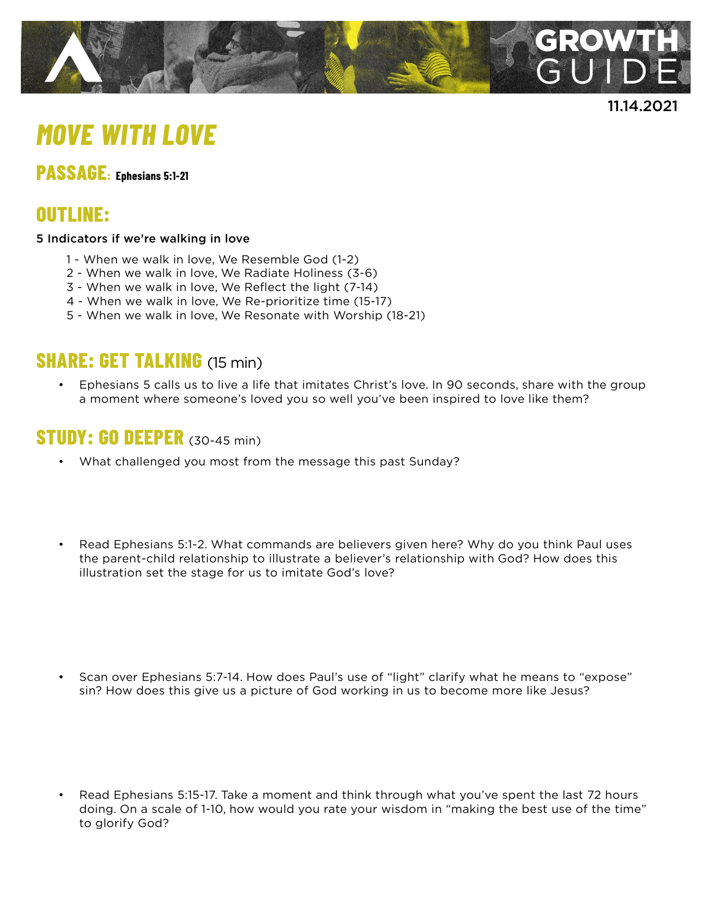

11.14.2021

# *MOVE WITH LOVE*

# **PASSAGE: Ephesians 5:1-21**

# **OUTLINE:**

#### 5 Indicators if we're walking in love

- 1 When we walk in love, We Resemble God (1-2)
- 2 When we walk in love, We Radiate Holiness (3-6)
- 3 When we walk in love, We Reflect the light (7-14)
- 4 When we walk in love, We Re-prioritize time (15-17)
- 5 When we walk in love, We Resonate with Worship (18-21)

### **SHARE: GET TALKING** (15 min)

• Ephesians 5 calls us to live a life that imitates Christ's love. In 90 seconds, share with the group a moment where someone's loved you so well you've been inspired to love like them?

#### **STUDY: GO DEEPER** (30-45 min)

- What challenged you most from the message this past Sunday?
- Read Ephesians 5:1-2. What commands are believers given here? Why do you think Paul uses the parent-child relationship to illustrate a believer's relationship with God? How does this illustration set the stage for us to imitate God's love?
- Scan over Ephesians 5:7-14. How does Paul's use of "light" clarify what he means to "expose" sin? How does this give us a picture of God working in us to become more like Jesus?
- Read Ephesians 5:15-17. Take a moment and think through what you've spent the last 72 hours doing. On a scale of 1-10, how would you rate your wisdom in "making the best use of the time" to glorify God?